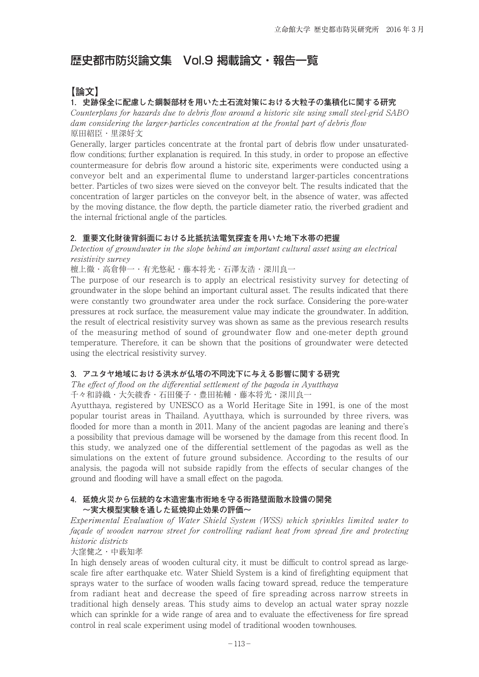# 歴史都市防災論文集 Vol.9 掲載論文・報告一覧

## **【論文】**

#### **1.史跡保全に配慮した鋼製部材を用いた土石流対策における大粒子の集積化に関する研究**

Counterplans for hazards due to debris flow around a historic site using small steel-grid SABO dam considering the larger-particles concentration at the frontal part of debris flow 原田紹臣・里深好文

Generally, larger particles concentrate at the frontal part of debris flow under unsaturatedflow conditions; further explanation is required. In this study, in order to propose an effective countermeasure for debris flow around a historic site, experiments were conducted using a conveyor belt and an experimental flume to understand larger-particles concentrations better. Particles of two sizes were sieved on the conveyor belt. The results indicated that the concentration of larger particles on the conveyor belt, in the absence of water, was affected by the moving distance, the flow depth, the particle diameter ratio, the riverbed gradient and the internal frictional angle of the particles.

### **2.重要文化財後背斜面における比抵抗法電気探査を用いた地下水帯の把握**

Detection of groundwater in the slope behind an important cultural asset using an electrical resistivity survey

檀上徹・高倉伸一・有光悠紀・藤本将光・石澤友浩・深川良一

The purpose of our research is to apply an electrical resistivity survey for detecting of groundwater in the slope behind an important cultural asset. The results indicated that there were constantly two groundwater area under the rock surface. Considering the pore-water pressures at rock surface, the measurement value may indicate the groundwater. In addition, the result of electrical resistivity survey was shown as same as the previous research results of the measuring method of sound of groundwater flow and one-meter depth ground temperature. Therefore, it can be shown that the positions of groundwater were detected using the electrical resistivity survey.

## **3.アユタヤ地域における洪水が仏塔の不同沈下に与える影響に関する研究**

The effect of flood on the differential settlement of the pagoda in Ayutthaya 千々和詩織・大矢綾香・石田優子・豊田祐輔・藤本将光・深川良一

Ayutthaya, registered by UNESCO as a World Heritage Site in 1991, is one of the most popular tourist areas in Thailand. Ayutthaya, which is surrounded by three rivers, was flooded for more than a month in 2011. Many of the ancient pagodas are leaning and there's a possibility that previous damage will be worsened by the damage from this recent flood. In this study, we analyzed one of the differential settlement of the pagodas as well as the simulations on the extent of future ground subsidence. According to the results of our analysis, the pagoda will not subside rapidly from the effects of secular changes of the ground and flooding will have a small effect on the pagoda.

### **4.延焼火災から伝統的な木造密集市街地を守る街路壁面散水設備の開発 ~実大模型実験を通した延焼抑止効果の評価~**

Experimental Evaluation of Water Shield System (WSS) which sprinkles limited water to façade of wooden narrow street for controlling radiant heat from spread fire and protecting historic districts

#### 大窪健之・中薮知孝

In high densely areas of wooden cultural city, it must be difficult to control spread as largescale fire after earthquake etc. Water Shield System is a kind of firefighting equipment that sprays water to the surface of wooden walls facing toward spread, reduce the temperature from radiant heat and decrease the speed of fire spreading across narrow streets in traditional high densely areas. This study aims to develop an actual water spray nozzle which can sprinkle for a wide range of area and to evaluate the effectiveness for fire spread control in real scale experiment using model of traditional wooden townhouses.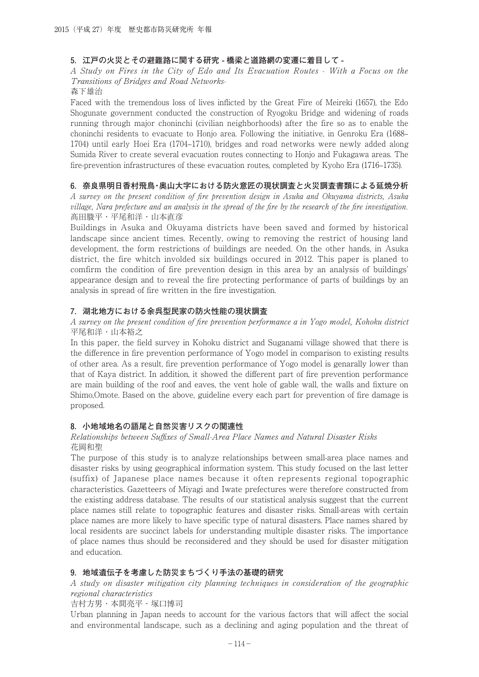#### **5.江戸の火災とその避難路に関する研究 - 橋梁と道路網の変遷に着目して -**

A Study on Fires in the City of Edo and Its Evacuation Routes - With a Focus on the Transitions of Bridges and Road Networks-

森下雄治

Faced with the tremendous loss of lives inflicted by the Great Fire of Meireki (1657), the Edo Shogunate government conducted the construction of Ryogoku Bridge and widening of roads running through major choninchi (civilian neighborhoods) after the fire so as to enable the choninchi residents to evacuate to Honjo area. Following the initiative, in Genroku Era (1688– 1704) until early Hoei Era (1704–1710), bridges and road networks were newly added along Sumida River to create several evacuation routes connecting to Honjo and Fukagawa areas. The fire-prevention infrastructures of these evacuation routes, completed by Kyoho Era (1716–1735).

### **6.奈良県明日香村飛鳥・奥山大字における防火意匠の現状調査と火災調査書類による延焼分析**

A survey on the present condition of fire prevention design in Asuka and Okuyama districts, Asuka village, Nara prefecture and an analysis in the spread of the fire by the research of the fire investigation. 髙田駿平・平尾和洋・山本直彦

Buildings in Asuka and Okuyama districts have been saved and formed by historical landscape since ancient times. Recently, owing to removing the restrict of housing land development, the form restrictions of buildings are needed. On the other hands, in Asuka district, the fire whitch involded six buildings occured in 2012. This paper is planed to comfirm the condition of fire prevention design in this area by an analysis of buildings' appearance design and to reveal the fire protecting performance of parts of buildings by an analysis in spread of fire written in the fire investigation.

#### **7.湖北地方における余呉型民家の防火性能の現状調査**

A survey on the present condition of fire prevention performance a in Yogo model, Kohoku district 平尾和洋・山本裕之

In this paper, the field survey in Kohoku district and Suganami village showed that there is the difference in fire prevention performance of Yogo model in comparison to existing results of other area. As a result, fire prevention performance of Yogo model is genarally lower than that of Kaya district. In addition, it showed the different part of fire prevention performance are main building of the roof and eaves, the vent hole of gable wall, the walls and fixture on Shimo,Omote. Based on the above, guideline every each part for prevention of fire damage is proposed.

#### **8.小地域地名の語尾と自然災害リスクの関連性**

#### Relationships between Suffixes of Small-Area Place Names and Natural Disaster Risks 花岡和聖

The purpose of this study is to analyze relationships between small-area place names and disaster risks by using geographical information system. This study focused on the last letter (suffix) of Japanese place names because it often represents regional topographic characteristics. Gazetteers of Miyagi and Iwate prefectures were therefore constructed from the existing address database. The results of our statistical analysis suggest that the current place names still relate to topographic features and disaster risks. Small-areas with certain place names are more likely to have specific type of natural disasters. Place names shared by local residents are succinct labels for understanding multiple disaster risks. The importance of place names thus should be reconsidered and they should be used for disaster mitigation and education.

#### **9.地域遺伝子を考慮した防災まちづくり手法の基礎的研究**

A study on disaster mitigation city planning techniques in consideration of the geographic regional characteristics

#### 吉村方男・本間亮平・塚口博司

Urban planning in Japan needs to account for the various factors that will affect the social and environmental landscape, such as a declining and aging population and the threat of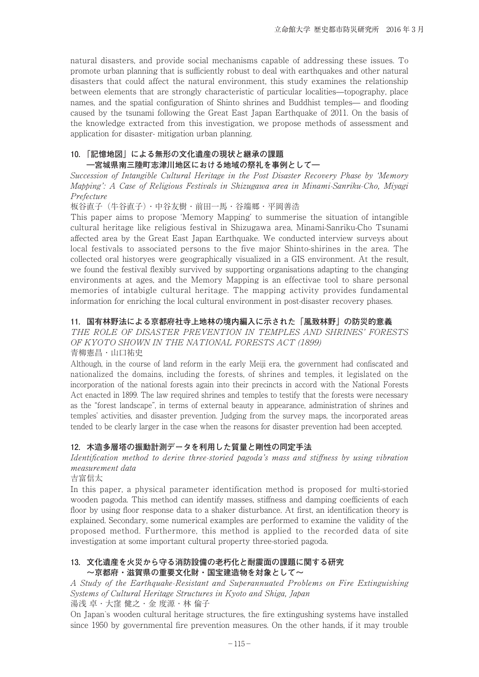natural disasters, and provide social mechanisms capable of addressing these issues. To promote urban planning that is sufficiently robust to deal with earthquakes and other natural disasters that could affect the natural environment, this study examines the relationship between elements that are strongly characteristic of particular localities—topography, place names, and the spatial configuration of Shinto shrines and Buddhist temples— and flooding caused by the tsunami following the Great East Japan Earthquake of 2011. On the basis of the knowledge extracted from this investigation, we propose methods of assessment and application for disaster- mitigation urban planning.

#### **10.「記憶地図」による無形の文化遺産の現状と継承の課題 ―宮城県南三陸町志津川地区における地域の祭礼を事例として―**

Succession of Intangible Cultural Heritage in the Post Disaster Recovery Phase by 'Memory Mapping': A Case of Religious Festivals in Shizugawa area in Minami-Sanriku-Cho, Miyagi Prefecture

板谷直子(牛谷直子)・中谷友樹・前田一馬・谷端郷・平岡善浩

This paper aims to propose 'Memory Mapping' to summerise the situation of intangible cultural heritage like religious festival in Shizugawa area, Minami-Sanriku-Cho Tsunami affected area by the Great East Japan Earthquake. We conducted interview surveys about local festivals to associated persons to the five major Shinto-shirines in the area. The collected oral historyes were geographically visualized in a GIS environment. At the result, we found the festival flexibly survived by supporting organisations adapting to the changing environments at ages, and the Memory Mapping is an effectivae tool to share personal memories of intabigle cultural heritage. The mapping activity provides fundamental information for enriching the local cultural environment in post-disaster recovery phases.

#### **11.国有林野法による京都府社寺上地林の境内編入に示された「風致林野」の防災的意義**

THE ROLE OF DISASTER PREVENTION IN TEMPLES AND SHRINES' FORESTS OF KYOTO SHOWN IN THE NATIONAL FORESTS ACT (1899) 青柳憲昌・山口祐史

Although, in the course of land reform in the early Meiji era, the government had confiscated and nationalized the domains, including the forests, of shrines and temples, it legislated on the incorporation of the national forests again into their precincts in accord with the National Forests Act enacted in 1899. The law required shrines and temples to testify that the forests were necessary as the "forest landscape", in terms of external beauty in appearance, administration of shrines and temples' activities, and disaster prevention. Judging from the survey maps, the incorporated areas tended to be clearly larger in the case when the reasons for disaster prevention had been accepted.

## **12.木造多層塔の振動計測データを利用した質量と剛性の同定手法**

Identification method to derive three-storied pagoda's mass and stiffness by using vibration measurement data

吉富信太

In this paper, a physical parameter identification method is proposed for multi-storied wooden pagoda. This method can identify masses, stiffness and damping coefficients of each floor by using floor response data to a shaker disturbance. At first, an identification theory is explained. Secondary, some numerical examples are performed to examine the validity of the proposed method. Furthermore, this method is applied to the recorded data of site investigation at some important cultural property three-storied pagoda.

#### **13.文化遺産を火災から守る消防設備の老朽化と耐震面の課題に関する研究 ~京都府・滋賀県の重要文化財・国宝建造物を対象として~**

A Study of the Earthquake-Resistant and Superannuated Problems on Fire Extinguishing Systems of Cultural Heritage Structures in Kyoto and Shiga, Japan

湯浅 卓・大窪 健之・金 度源・林 倫子

On Japan`s wooden cultural heritage structures, the fire extingushing systems have installed since 1950 by governmental fire prevention measures. On the other hands, if it may trouble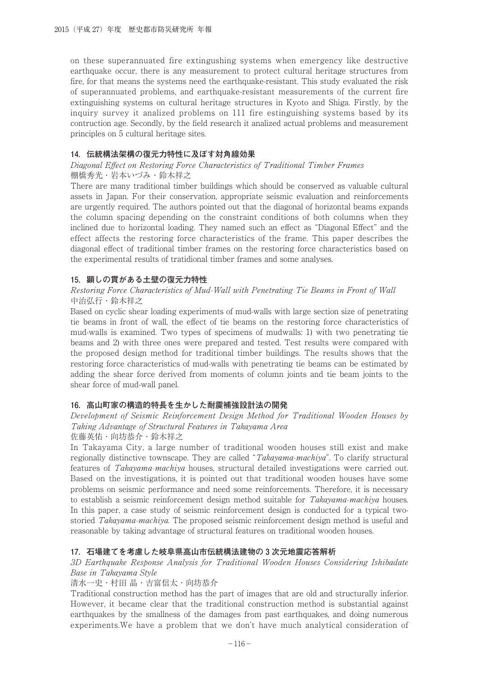on these superannuated fire extingushing systems when emergency like destructive earthquake occur, there is any measurement to protect cultural heritage structures from fire, for that means the systems need the earthquake-resistant. This study evaluated the risk of superannuated problems, and earthquake-resistant measurements of the current fire extinguishing systems on cultural heritage structures in Kyoto and Shiga. Firstly, by the inquiry survey it analized problems on 111 fire estinguishing systems based by its contruction age. Secondly, by the field research it analized actual problems and measurement principles on 5 cultural heritage sites.

#### **14.伝統構法架構の復元力特性に及ぼす対角線効果**

#### Diagonal Effect on Restoring Force Characteristics of Traditional Timber Frames 棚橋秀光・岩本いづみ・鈴木祥之

There are many traditional timber buildings which should be conserved as valuable cultural assets in Japan. For their conservation, appropriate seismic evaluation and reinforcements are urgently required. The authors pointed out that the diagonal of horizontal beams expands the column spacing depending on the constraint conditions of both columns when they inclined due to horizontal loading. They named such an effect as "Diagonal Effect" and the effect affects the restoring force characteristics of the frame. This paper describes the diagonal effect of traditional timber frames on the restoring force characteristics based on the experimental results of tratidional timber frames and some analyses.

### **15.顕しの貫がある土壁の復元力特性**

#### Restoring Force Characteristics of Mud-Wall with Penetrating Tie Beams in Front of Wall 中治弘行・鈴木祥之

Based on cyclic shear loading experiments of mud-walls with large section size of penetrating tie beams in front of wall, the effect of tie beams on the restoring force characteristics of mud-walls is examined. Two types of specimens of mudwalls: 1) with two penetrating tie beams and 2) with three ones were prepared and tested. Test results were compared with the proposed design method for traditional timber buildings. The results shows that the restoring force characteristics of mud-walls with penetrating tie beams can be estimated by adding the shear force derived from moments of column joints and tie beam joints to the shear force of mud-wall panel.

## **16.高山町家の構造的特長を生かした耐震補強設計法の開発**

#### Development of Seismic Reinforcement Design Method for Traditional Wooden Houses by Taking Advantage of Structural Features in Takayama Area 佐藤英佑・向坊恭介・鈴木祥之

In Takayama City, a large number of traditional wooden houses still exist and make regionally distinctive townscape. They are called "Takayama-machiya". To clarify structural features of Takayama-machiya houses, structural detailed investigations were carried out. Based on the investigations, it is pointed out that traditional wooden houses have some problems on seismic performance and need some reinforcements. Therefore, it is necessary to establish a seismic reinforcement design method suitable for *Takayama-machiya* houses. In this paper, a case study of seismic reinforcement design is conducted for a typical twostoried *Takayama-machiya*. The proposed seismic reinforcement design method is useful and reasonable by taking advantage of structural features on traditional wooden houses.

#### **17.石場建てを考慮した岐阜県高山市伝統構法建物の 3 次元地震応答解析**

## 3D Earthquake Response Analysis for Traditional Wooden Houses Considering Ishibadate Base in Takayama Style

清水一史・村田 晶・吉富信太・向坊恭介

Traditional construction method has the part of images that are old and structurally inferior. However, it became clear that the traditional construction method is substantial against earthquakes by the smallness of the damages from past earthquakes, and doing numerous experiments.We have a problem that we don't have much analytical consideration of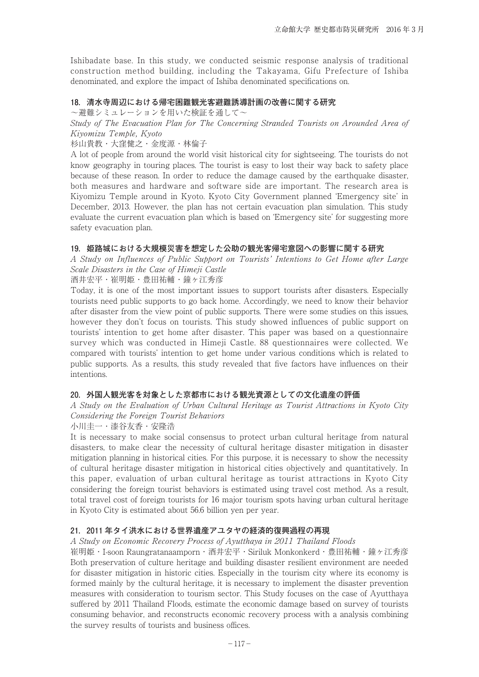Ishibadate base. In this study, we conducted seismic response analysis of traditional construction method building, including the Takayama, Gifu Prefecture of Ishiba denominated, and explore the impact of Ishiba denominated specifications on.

#### **18.清水寺周辺における帰宅困難観光客避難誘導計画の改善に関する研究**

~避難シミュレーションを用いた検証を通して~

Study of The Evacuation Plan for The Concerning Stranded Tourists on Arounded Area of Kiyomizu Temple, Kyoto

杉山貴教・大窪健之・金度源・林倫子

A lot of people from around the world visit historical city for sightseeing. The tourists do not know geography in touring places. The tourist is easy to lost their way back to safety place because of these reason. In order to reduce the damage caused by the earthquake disaster, both measures and hardware and software side are important. The research area is Kiyomizu Temple around in Kyoto. Kyoto City Government planned 'Emergency site' in December, 2013. However, the plan has not certain evacuation plan simulation. This study evaluate the current evacuation plan which is based on 'Emergency site' for suggesting more safety evacuation plan.

#### 19. 姫路城における大規模災害を想定した公助の観光客帰宅意図への影響に関する研究

A Study on Influences of Public Support on Tourists' Intentions to Get Home after Large Scale Disasters in the Case of Himeji Castle

酒井宏平・崔明姫・豊田祐輔・鐘ヶ江秀彦

Today, it is one of the most important issues to support tourists after disasters. Especially tourists need public supports to go back home. Accordingly, we need to know their behavior after disaster from the view point of public supports. There were some studies on this issues, however they don't focus on tourists. This study showed influences of public support on tourists' intention to get home after disaster. This paper was based on a questionnaire survey which was conducted in Himeji Castle. 88 questionnaires were collected. We compared with tourists' intention to get home under various conditions which is related to public supports. As a results, this study revealed that five factors have influences on their intentions.

#### **20.外国人観光客を対象とした京都市における観光資源としての文化遺産の評価**

A Study on the Evaluation of Urban Cultural Heritage as Tourist Attractions in Kyoto City Considering the Foreign Tourist Behaviors

小川圭一・漆谷友香・安隆浩

It is necessary to make social consensus to protect urban cultural heritage from natural disasters, to make clear the necessity of cultural heritage disaster mitigation in disaster mitigation planning in historical cities. For this purpose, it is necessary to show the necessity of cultural heritage disaster mitigation in historical cities objectively and quantitatively. In this paper, evaluation of urban cultural heritage as tourist attractions in Kyoto City considering the foreign tourist behaviors is estimated using travel cost method. As a result, total travel cost of foreign tourists for 16 major tourism spots having urban cultural heritage in Kyoto City is estimated about 56.6 billion yen per year.

#### **21.2011 年タイ洪水における世界遺産アユタヤの経済的復興過程の再現**

A Study on Economic Recovery Process of Ayutthaya in 2011 Thailand Floods

崔明姫・I-soon Raungratanaamporn・酒井宏平・Siriluk Monkonkerd・豊田祐輔・鐘ヶ江秀彦 Both preservation of culture heritage and building disaster resilient environment are needed for disaster mitigation in historic cities. Especially in the tourism city where its economy is formed mainly by the cultural heritage, it is necessary to implement the disaster prevention measures with consideration to tourism sector. This Study focuses on the case of Ayutthaya suffered by 2011 Thailand Floods, estimate the economic damage based on survey of tourists consuming behavior, and reconstructs economic recovery process with a analysis combining the survey results of tourists and business offices.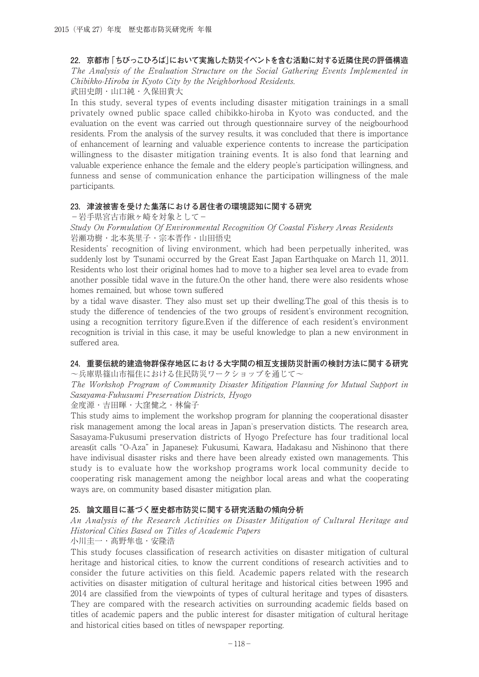#### **22.京都市「ちびっこひろば」において実施した防災イベントを含む活動に対する近隣住民の評価構造**

The Analysis of the Evaluation Structure on the Social Gathering Events Implemented in Chibikko-Hiroba in Kyoto City by the Neighborhood Residents.

武田史朗・山口純・久保田貴大

In this study, several types of events including disaster mitigation trainings in a small privately owned public space called chibikko-hiroba in Kyoto was conducted, and the evaluation on the event was carried out through questionnaire survey of the neigbourhood residents. From the analysis of the survey results, it was concluded that there is importance of enhancement of learning and valuable experience contents to increase the participation willingness to the disaster mitigation training events. It is also fond that learning and valuable experience enhance the female and the eldery people's participation willingness, and funness and sense of communication enhance the participation willingness of the male participants.

#### **23.津波被害を受けた集落における居住者の環境認知に関する研究**

−岩手県宮古市鍬ヶ崎を対象として−

Study On Formulation Of Environmental Recognition Of Coastal Fishery Areas Residents 岩瀬功樹・北本英里子・宗本晋作・山田悟史

Residents' recognition of living environment, which had been perpetually inherited, was suddenly lost by Tsunami occurred by the Great East Japan Earthquake on March 11, 2011. Residents who lost their original homes had to move to a higher sea level area to evade from another possible tidal wave in the future.On the other hand, there were also residents whose homes remained, but whose town suffered

by a tidal wave disaster. They also must set up their dwelling.The goal of this thesis is to study the difference of tendencies of the two groups of resident's environment recognition, using a recognition territory figure.Even if the difference of each resident's environment recognition is trivial in this case, it may be useful knowledge to plan a new environment in suffered area.

#### **24.重要伝統的建造物群保存地区における大字間の相互支援防災計画の検討方法に関する研究**

~兵庫県篠山市福住における住民防災ワークショップを通じて~

The Workshop Program of Community Disaster Mitigation Planning for Mutual Support in Sasayama-Fukusumi Preservation Districts, Hyogo

金度源・吉田暉・大窪健之・林倫子

This study aims to implement the workshop program for planning the cooperational disaster risk management among the local areas in Japan`s preservation disticts. The research area, Sasayama-Fukusumi preservation districts of Hyogo Prefecture has four traditional local areas(it calls "O-Aza" in Japanese): Fukusumi, Kawara, Hadakasu and Nishinono that there have indivisual disaster risks and there have been already existed own managements. This study is to evaluate how the workshop programs work local community decide to cooperating risk management among the neighbor local areas and what the cooperating ways are, on community based disaster mitigation plan.

## **25.論文題目に基づく歴史都市防災に関する研究活動の傾向分析**

An Analysis of the Research Activities on Disaster Mitigation of Cultural Heritage and Historical Cities Based on Titles of Academic Papers

小川圭一・髙野隼也・安隆浩

This study focuses classification of research activities on disaster mitigation of cultural heritage and historical cities, to know the current conditions of research activities and to consider the future activities on this field. Academic papers related with the research activities on disaster mitigation of cultural heritage and historical cities between 1995 and 2014 are classified from the viewpoints of types of cultural heritage and types of disasters. They are compared with the research activities on surrounding academic fields based on titles of academic papers and the public interest for disaster mitigation of cultural heritage and historical cities based on titles of newspaper reporting.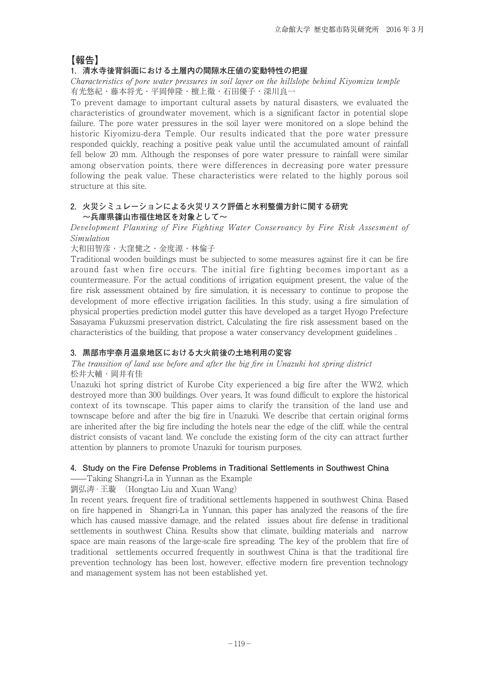## **【報告】**

## **1.清水寺後背斜面における土層内の間隙水圧値の変動特性の把握**

Characteristics of pore water pressures in soil layer on the hillslope behind Kiyomizu temple 有光悠紀・藤本将光・平岡伸隆・檀上徹・石田優子・深川良一

To prevent damage to important cultural assets by natural disasters, we evaluated the characteristics of groundwater movement, which is a significant factor in potential slope failure. The pore water pressures in the soil layer were monitored on a slope behind the historic Kiyomizu-dera Temple. Our results indicated that the pore water pressure responded quickly, reaching a positive peak value until the accumulated amount of rainfall fell below 20 mm. Although the responses of pore water pressure to rainfall were similar among observation points, there were differences in decreasing pore water pressure following the peak value. These characteristics were related to the highly porous soil structure at this site.

### **2.火災シミュレーションによる火災リスク評価と水利整備方針に関する研究 ~兵庫県篠山市福住地区を対象として~**

Development Planning of Fire Fighting Water Conservancy by Fire Risk Assesment of Simulation

大和田智彦・大窪健之・金度源・林倫子

Traditional wooden buildings must be subjected to some measures against fire it can be fire around fast when fire occurs. The initial fire fighting becomes important as a countermeasure. For the actual conditions of irrigation equipment present, the value of the fire risk assessment obtained by fire simulation, it is necessary to continue to propose the development of more effective irrigation facilities. In this study, using a fire simulation of physical properties prediction model gutter this have developed as a target Hyogo Prefecture Sasayama Fukuzsmi preservation district, Calculating the fire risk assessment based on the characteristics of the building, that propose a water conservancy development guidelines .

## **3.黒部市宇奈月温泉地区における大火前後の土地利用の変容**

#### The transition of land use before and after the big fire in Unazuki hot spring district 松井大輔・岡井有佳

Unazuki hot spring district of Kurobe City experienced a big fire after the WW2, which destroyed more than 300 buildings. Over years, It was found difficult to explore the historical context of its townscape. This paper aims to clarify the transition of the land use and townscape before and after the big fire in Unazuki. We describe that certain original forms are inherited after the big fire including the hotels near the edge of the cliff, while the central district consists of vacant land. We conclude the existing form of the city can attract further attention by planners to promote Unazuki for tourism purposes.

## **4.Study on the Fire Defense Problems in Traditional Settlements in Southwest China**

——Taking Shangri-La in Yunnan as the Example

劉弘涛 · 王璇 (Hongtao Liu and Xuan Wang)

In recent years, frequent fire of traditional settlements happened in southwest China. Based on fire happened in Shangri-La in Yunnan, this paper has analyzed the reasons of the fire which has caused massive damage, and the related issues about fire defense in traditional settlements in southwest China. Results show that climate, building materials and narrow space are main reasons of the large-scale fire spreading. The key of the problem that fire of traditional settlements occurred frequently in southwest China is that the traditional fire prevention technology has been lost, however, effective modern fire prevention technology and management system has not been established yet.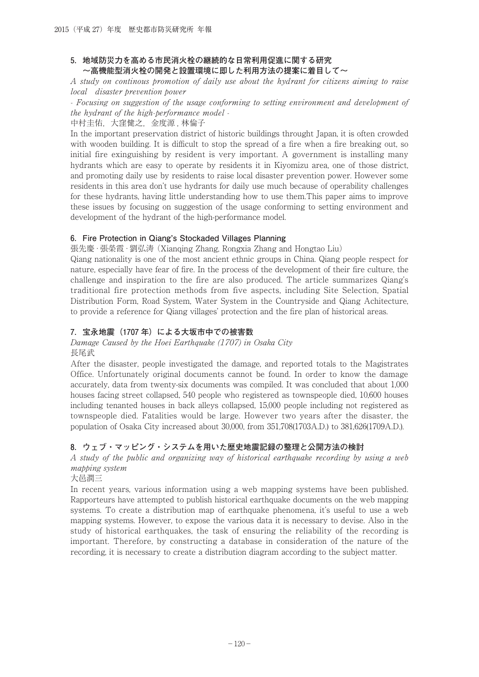### **5.地域防災力を高める市民消火栓の継続的な日常利用促進に関する研究 ~高機能型消火栓の開発と設置環境に即した利用方法の提案に着目して~**

A study on continous promotion of daily use about the hydrant for citizens aiming to raise local disaster prevention power

- Focusing on suggestion of the usage conforming to setting environment and development of the hydrant of the high-performance model -

中村圭佑,大窪健之,金度源,林倫子

In the important preservation district of historic buildings throught Japan, it is often crowded with wooden building. It is difficult to stop the spread of a fire when a fire breaking out, so initial fire exinguishing by resident is very important. A government is installing many hydrants which are easy to operate by residents it in Kiyomizu area, one of those district, and promoting daily use by residents to raise local disaster prevention power. However some residents in this area don't use hydrants for daily use much because of operability challenges for these hydrants, having little understanding how to use them.This paper aims to improve these issues by focusing on suggestion of the usage conforming to setting environment and development of the hydrant of the high-performance model.

### **6.Fire Protection in Qiang's Stockaded Villages Planning**

張先慶 · 張榮霞 · 劉弘涛 (Xianqing Zhang, Rongxia Zhang and Hongtao Liu)

Qiang nationality is one of the most ancient ethnic groups in China. Qiang people respect for nature, especially have fear of fire. In the process of the development of their fire culture, the challenge and inspiration to the fire are also produced. The article summarizes Qiang's traditional fire protection methods from five aspects, including Site Selection, Spatial Distribution Form, Road System, Water System in the Countryside and Qiang Achitecture, to provide a reference for Qiang villages' protection and the fire plan of historical areas.

## **7.宝永地震(1707 年)による大坂市中での被害数**

#### Damage Caused by the Hoei Earthquake (1707) in Osaka City 長尾武

After the disaster, people investigated the damage, and reported totals to the Magistrates Office. Unfortunately original documents cannot be found. In order to know the damage accurately, data from twenty-six documents was compiled. It was concluded that about 1,000 houses facing street collapsed, 540 people who registered as townspeople died, 10,600 houses including tenanted houses in back alleys collapsed, 15,000 people including not registered as townspeople died. Fatalities would be large. However two years after the disaster, the population of Osaka City increased about 30,000, from 351,708(1703A.D.) to 381,626(1709A.D.).

## **8.ウェブ・マッピング・システムを用いた歴史地震記録の整理と公開方法の検討**

A study of the public and organizing way of historical earthquake recording by using a web mapping system

大邑潤三

In recent years, various information using a web mapping systems have been published. Rapporteurs have attempted to publish historical earthquake documents on the web mapping systems. To create a distribution map of earthquake phenomena, it's useful to use a web mapping systems. However, to expose the various data it is necessary to devise. Also in the study of historical earthquakes, the task of ensuring the reliability of the recording is important. Therefore, by constructing a database in consideration of the nature of the recording, it is necessary to create a distribution diagram according to the subject matter.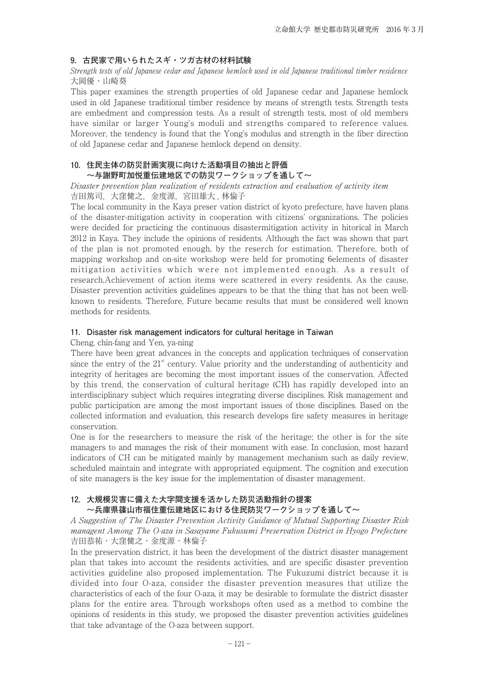#### **9.古民家で用いられたスギ・ツガ古材の材料試験**

#### Strength tests of old Japanese cedar and Japanese hemlock used in old Japanese traditional timber residence 大岡優・山崎葵

This paper examines the strength properties of old Japanese cedar and Japanese hemlock used in old Japanese traditional timber residence by means of strength tests. Strength tests are embedment and compression tests. As a result of strength tests, most of old members have similar or larger Young's moduli and strengths compared to reference values. Moreover, the tendency is found that the Yong's modulus and strength in the fiber direction of old Japanese cedar and Japanese hemlock depend on density.

## **10.住民主体の防災計画実現に向けた活動項目の抽出と評価**

## **~与謝野町加悦重伝建地区での防災ワークショップを通して~**

#### Disaster prevention plan realization of residents extraction and evaluation of activity item 吉田篤司, 大窪健之, 金度源, 宮田雄大, 林倫子

The local community in the Kaya preser vation district of kyoto prefecture, have haven plans of the disaster-mitigation activity in cooperation with citizens' organizations. The policies were decided for practicing the continuous disastermitigation activity in hitorical in March 2012 in Kaya. They include the opinions of residents. Although the fact was shown that part of the plan is not promoted enough, by the reserch for estimation. Therefore, both of mapping workshop and on-site workshop were held for promoting 6elements of disaster mitigation activities which were not implemented enough. As a result of research,Achievement of action items were scattered in every residents. As the cause, Disaster prevention activities guidelines appears to be that the thing that has not been wellknown to residents. Therefore, Future became results that must be considered well known methods for residents.

#### **11.Disaster risk management indicators for cultural heritage in Taiwan**

Cheng, chin-fang and Yen, ya-ning

There have been great advances in the concepts and application techniques of conservation since the entry of the  $21<sup>st</sup>$  century. Value priority and the understanding of authenticity and integrity of heritages are becoming the most important issues of the conservation. Affected by this trend, the conservation of cultural heritage (CH) has rapidly developed into an interdisciplinary subject which requires integrating diverse disciplines. Risk management and public participation are among the most important issues of those disciplines. Based on the collected information and evaluation, this research develops fire safety measures in heritage conservation.

One is for the researchers to measure the risk of the heritage; the other is for the site managers to and manages the risk of their monument with ease. In conclusion, most hazard indicators of CH can be mitigated mainly by management mechanism such as daily review, scheduled maintain and integrate with appropriated equipment. The cognition and execution of site managers is the key issue for the implementation of disaster management.

# **12.大規模災害に備えた大字間支援を活かした防災活動指針の提案**

## **~兵庫県篠山市福住重伝建地区における住民防災ワークショップを通して~**

A Suggestion of The Disaster Prevention Activity Guidance of Mutual Supporting Disaster Risk managent Among The O-aza in Sasayame Fukusumi Preservation District in Hyogo Prefecture 吉田恭祐・大窪健之・金度源・林倫子

In the preservation district, it has been the development of the district disaster management plan that takes into account the residents activities, and are specific disaster prevention activities guideline also proposed implementation. The Fukuzumi district because it is divided into four O-aza, consider the disaster prevention measures that utilize the characteristics of each of the four O-aza, it may be desirable to formulate the district disaster plans for the entire area. Through workshops often used as a method to combine the opinions of residents in this study, we proposed the disaster prevention activities guidelines that take advantage of the O-aza between support.